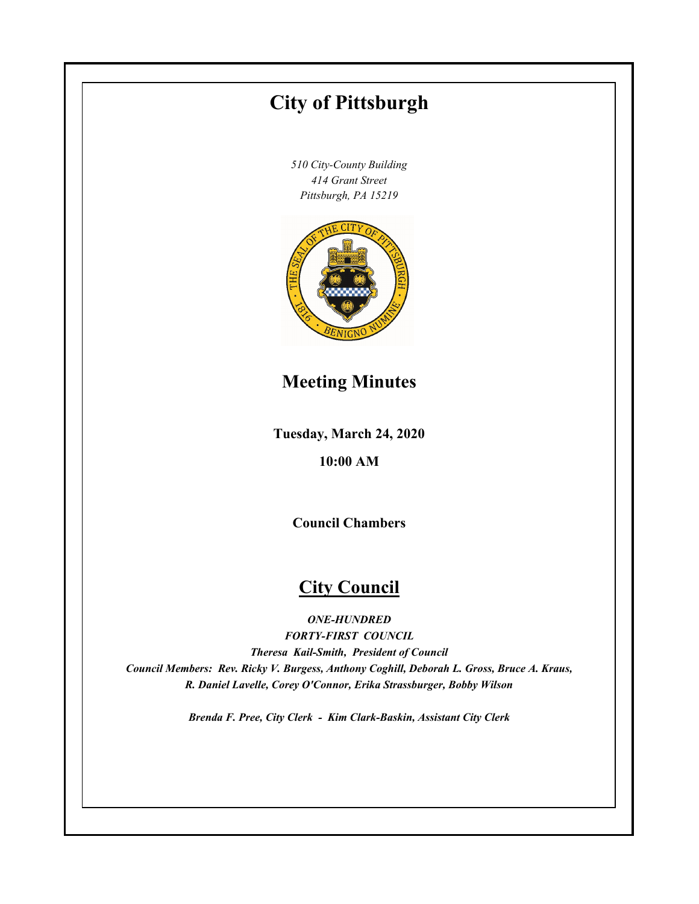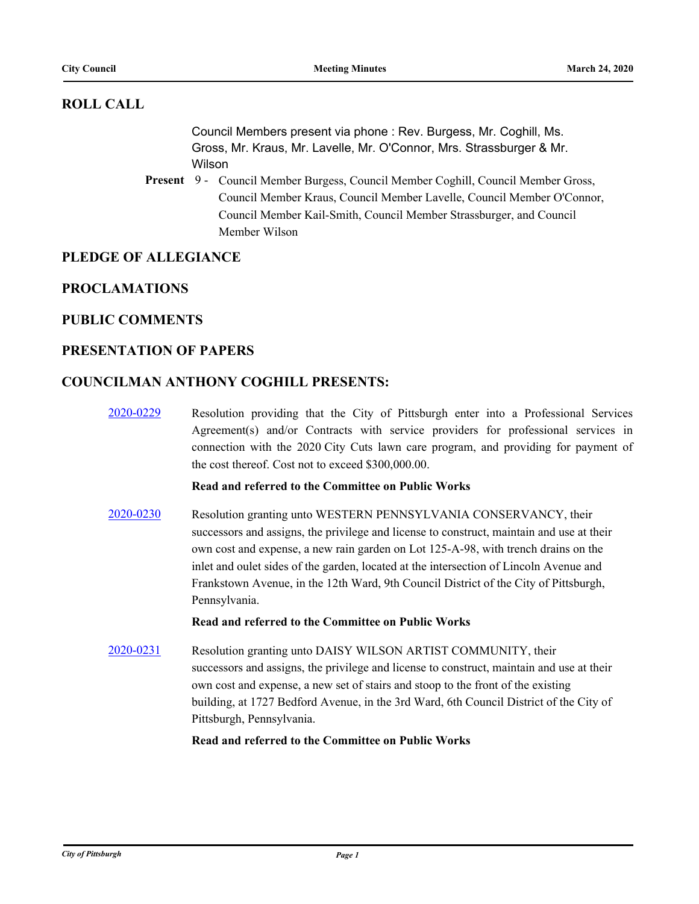# **ROLL CALL**

Council Members present via phone : Rev. Burgess, Mr. Coghill, Ms. Gross, Mr. Kraus, Mr. Lavelle, Mr. O'Connor, Mrs. Strassburger & Mr. Wilson

Present 9 - Council Member Burgess, Council Member Coghill, Council Member Gross, Council Member Kraus, Council Member Lavelle, Council Member O'Connor, Council Member Kail-Smith, Council Member Strassburger, and Council Member Wilson

# **PLEDGE OF ALLEGIANCE**

### **PROCLAMATIONS**

### **PUBLIC COMMENTS**

### **PRESENTATION OF PAPERS**

### **COUNCILMAN ANTHONY COGHILL PRESENTS:**

[2020-0229](http://pittsburgh.legistar.com/gateway.aspx?m=l&id=/matter.aspx?key=25016) Resolution providing that the City of Pittsburgh enter into a Professional Services Agreement(s) and/or Contracts with service providers for professional services in connection with the 2020 City Cuts lawn care program, and providing for payment of the cost thereof. Cost not to exceed \$300,000.00.

### **Read and referred to the Committee on Public Works**

[2020-0230](http://pittsburgh.legistar.com/gateway.aspx?m=l&id=/matter.aspx?key=25017) Resolution granting unto WESTERN PENNSYLVANIA CONSERVANCY, their successors and assigns, the privilege and license to construct, maintain and use at their own cost and expense, a new rain garden on Lot 125-A-98, with trench drains on the inlet and oulet sides of the garden, located at the intersection of Lincoln Avenue and Frankstown Avenue, in the 12th Ward, 9th Council District of the City of Pittsburgh, Pennsylvania.

#### **Read and referred to the Committee on Public Works**

[2020-0231](http://pittsburgh.legistar.com/gateway.aspx?m=l&id=/matter.aspx?key=25018) Resolution granting unto DAISY WILSON ARTIST COMMUNITY, their successors and assigns, the privilege and license to construct, maintain and use at their own cost and expense, a new set of stairs and stoop to the front of the existing building, at 1727 Bedford Avenue, in the 3rd Ward, 6th Council District of the City of Pittsburgh, Pennsylvania.

**Read and referred to the Committee on Public Works**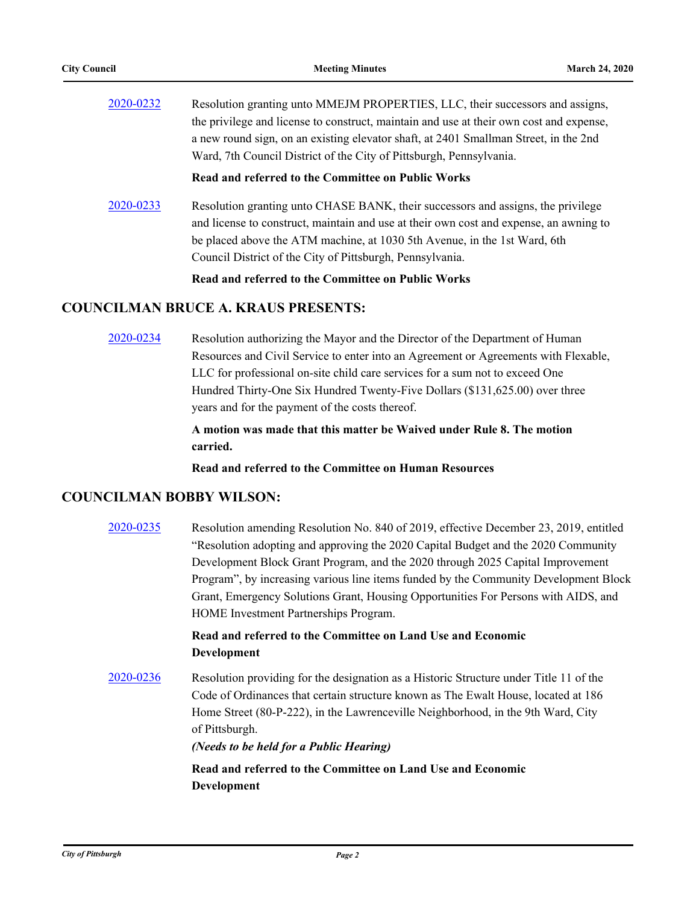| 2020-0232 | Resolution granting unto MMEJM PROPERTIES, LLC, their successors and assigns,           |
|-----------|-----------------------------------------------------------------------------------------|
|           | the privilege and license to construct, maintain and use at their own cost and expense, |
|           | a new round sign, on an existing elevator shaft, at 2401 Smallman Street, in the 2nd    |
|           | Ward, 7th Council District of the City of Pittsburgh, Pennsylvania.                     |

**Read and referred to the Committee on Public Works**

[2020-0233](http://pittsburgh.legistar.com/gateway.aspx?m=l&id=/matter.aspx?key=25020) Resolution granting unto CHASE BANK, their successors and assigns, the privilege and license to construct, maintain and use at their own cost and expense, an awning to be placed above the ATM machine, at 1030 5th Avenue, in the 1st Ward, 6th Council District of the City of Pittsburgh, Pennsylvania.

**Read and referred to the Committee on Public Works**

### **COUNCILMAN BRUCE A. KRAUS PRESENTS:**

[2020-0234](http://pittsburgh.legistar.com/gateway.aspx?m=l&id=/matter.aspx?key=25021) Resolution authorizing the Mayor and the Director of the Department of Human Resources and Civil Service to enter into an Agreement or Agreements with Flexable, LLC for professional on-site child care services for a sum not to exceed One Hundred Thirty-One Six Hundred Twenty-Five Dollars (\$131,625.00) over three years and for the payment of the costs thereof.

> **A motion was made that this matter be Waived under Rule 8. The motion carried.**

**Read and referred to the Committee on Human Resources**

### **COUNCILMAN BOBBY WILSON:**

[2020-0235](http://pittsburgh.legistar.com/gateway.aspx?m=l&id=/matter.aspx?key=25022) Resolution amending Resolution No. 840 of 2019, effective December 23, 2019, entitled "Resolution adopting and approving the 2020 Capital Budget and the 2020 Community Development Block Grant Program, and the 2020 through 2025 Capital Improvement Program", by increasing various line items funded by the Community Development Block Grant, Emergency Solutions Grant, Housing Opportunities For Persons with AIDS, and HOME Investment Partnerships Program.

# **Read and referred to the Committee on Land Use and Economic Development**

[2020-0236](http://pittsburgh.legistar.com/gateway.aspx?m=l&id=/matter.aspx?key=25023) Resolution providing for the designation as a Historic Structure under Title 11 of the Code of Ordinances that certain structure known as The Ewalt House, located at 186 Home Street (80-P-222), in the Lawrenceville Neighborhood, in the 9th Ward, City of Pittsburgh.

*(Needs to be held for a Public Hearing)*

**Read and referred to the Committee on Land Use and Economic Development**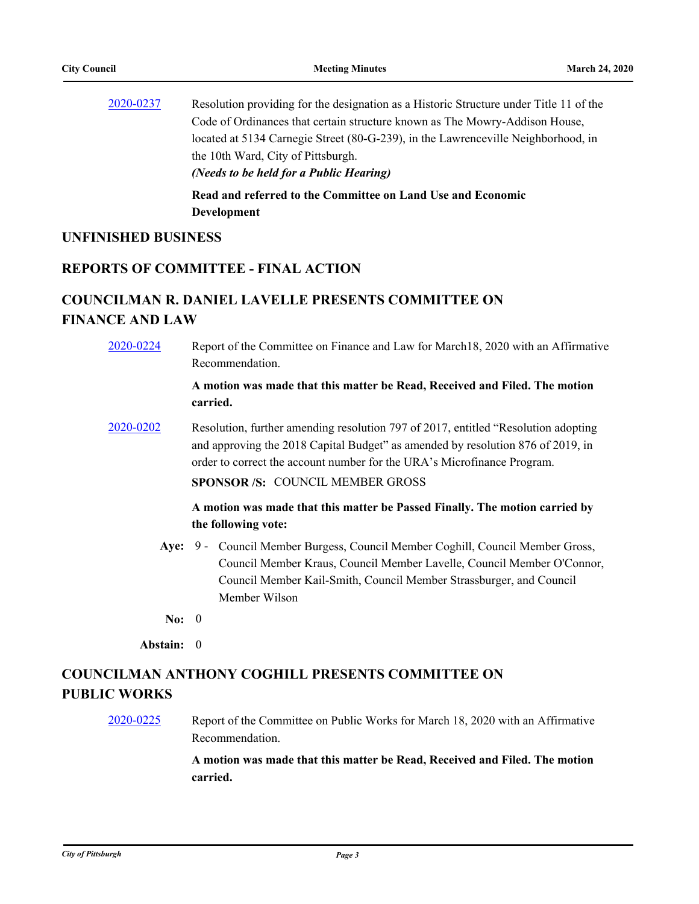[2020-0237](http://pittsburgh.legistar.com/gateway.aspx?m=l&id=/matter.aspx?key=25024) Resolution providing for the designation as a Historic Structure under Title 11 of the Code of Ordinances that certain structure known as The Mowry-Addison House, located at 5134 Carnegie Street (80-G-239), in the Lawrenceville Neighborhood, in the 10th Ward, City of Pittsburgh. *(Needs to be held for a Public Hearing)* **Read and referred to the Committee on Land Use and Economic** 

**Development**

### **UNFINISHED BUSINESS**

# **REPORTS OF COMMITTEE - FINAL ACTION**

# **COUNCILMAN R. DANIEL LAVELLE PRESENTS COMMITTEE ON FINANCE AND LAW**

[2020-0224](http://pittsburgh.legistar.com/gateway.aspx?m=l&id=/matter.aspx?key=25011) Report of the Committee on Finance and Law for March18, 2020 with an Affirmative Recommendation.

> **A motion was made that this matter be Read, Received and Filed. The motion carried.**

[2020-0202](http://pittsburgh.legistar.com/gateway.aspx?m=l&id=/matter.aspx?key=24987) Resolution, further amending resolution 797 of 2017, entitled "Resolution adopting and approving the 2018 Capital Budget" as amended by resolution 876 of 2019, in order to correct the account number for the URA's Microfinance Program.

**SPONSOR /S:** COUNCIL MEMBER GROSS

### **A motion was made that this matter be Passed Finally. The motion carried by the following vote:**

- Aye: 9 Council Member Burgess, Council Member Coghill, Council Member Gross, Council Member Kraus, Council Member Lavelle, Council Member O'Connor, Council Member Kail-Smith, Council Member Strassburger, and Council Member Wilson
- **No:** 0

**Abstain:** 0

# **COUNCILMAN ANTHONY COGHILL PRESENTS COMMITTEE ON PUBLIC WORKS**

[2020-0225](http://pittsburgh.legistar.com/gateway.aspx?m=l&id=/matter.aspx?key=25012) Report of the Committee on Public Works for March 18, 2020 with an Affirmative Recommendation.

> **A motion was made that this matter be Read, Received and Filed. The motion carried.**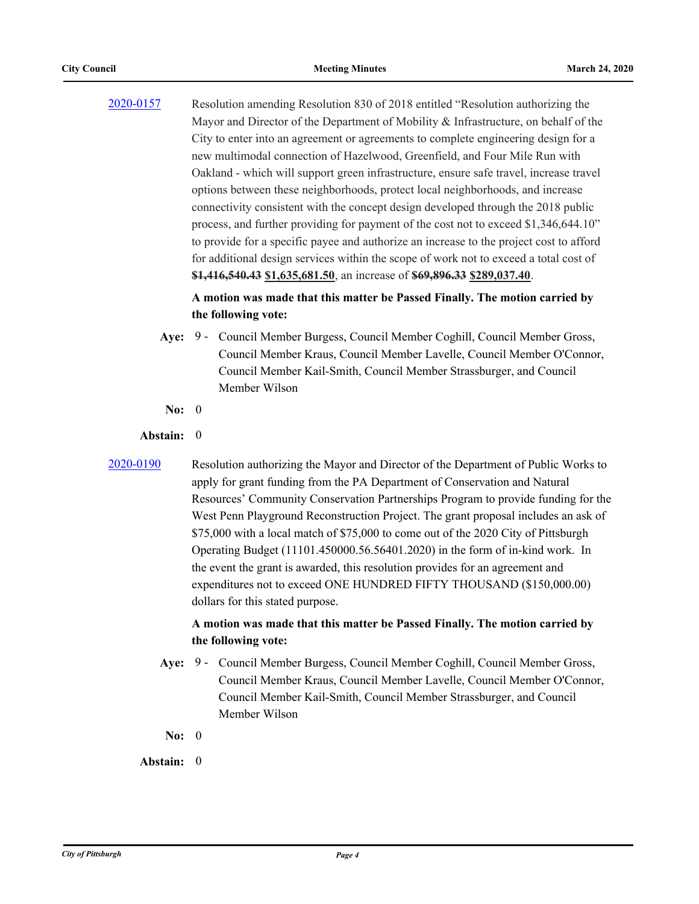[2020-0157](http://pittsburgh.legistar.com/gateway.aspx?m=l&id=/matter.aspx?key=24942) Resolution amending Resolution 830 of 2018 entitled "Resolution authorizing the Mayor and Director of the Department of Mobility & Infrastructure, on behalf of the City to enter into an agreement or agreements to complete engineering design for a new multimodal connection of Hazelwood, Greenfield, and Four Mile Run with Oakland - which will support green infrastructure, ensure safe travel, increase travel options between these neighborhoods, protect local neighborhoods, and increase connectivity consistent with the concept design developed through the 2018 public process, and further providing for payment of the cost not to exceed \$1,346,644.10" to provide for a specific payee and authorize an increase to the project cost to afford for additional design services within the scope of work not to exceed a total cost of **\$1,416,540.43 \$1,635,681.50**, an increase of **\$69,896.33 \$289,037.40**.

### **A motion was made that this matter be Passed Finally. The motion carried by the following vote:**

- Aye: 9 Council Member Burgess, Council Member Coghill, Council Member Gross, Council Member Kraus, Council Member Lavelle, Council Member O'Connor, Council Member Kail-Smith, Council Member Strassburger, and Council Member Wilson
- **No:** 0

#### **Abstain:** 0

[2020-0190](http://pittsburgh.legistar.com/gateway.aspx?m=l&id=/matter.aspx?key=24975) Resolution authorizing the Mayor and Director of the Department of Public Works to apply for grant funding from the PA Department of Conservation and Natural Resources' Community Conservation Partnerships Program to provide funding for the West Penn Playground Reconstruction Project. The grant proposal includes an ask of \$75,000 with a local match of \$75,000 to come out of the 2020 City of Pittsburgh Operating Budget (11101.450000.56.56401.2020) in the form of in-kind work. In the event the grant is awarded, this resolution provides for an agreement and expenditures not to exceed ONE HUNDRED FIFTY THOUSAND (\$150,000.00) dollars for this stated purpose.

### **A motion was made that this matter be Passed Finally. The motion carried by the following vote:**

- Aye: 9 Council Member Burgess, Council Member Coghill, Council Member Gross, Council Member Kraus, Council Member Lavelle, Council Member O'Connor, Council Member Kail-Smith, Council Member Strassburger, and Council Member Wilson
- **No:** 0

### **Abstain:** 0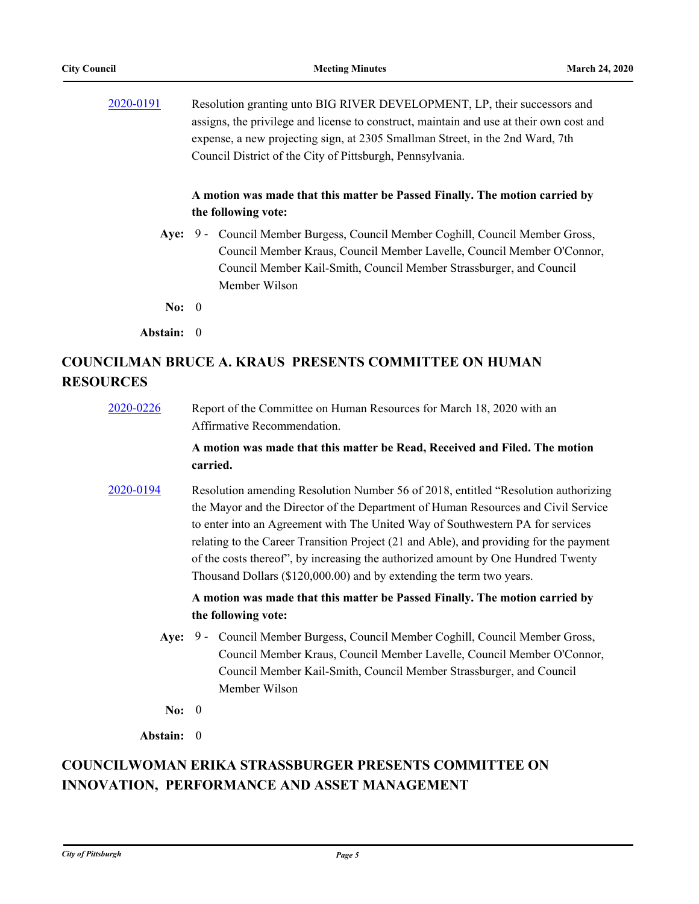[2020-0191](http://pittsburgh.legistar.com/gateway.aspx?m=l&id=/matter.aspx?key=24976) Resolution granting unto BIG RIVER DEVELOPMENT, LP, their successors and assigns, the privilege and license to construct, maintain and use at their own cost and expense, a new projecting sign, at 2305 Smallman Street, in the 2nd Ward, 7th Council District of the City of Pittsburgh, Pennsylvania.

### **A motion was made that this matter be Passed Finally. The motion carried by the following vote:**

- Aye: 9 Council Member Burgess, Council Member Coghill, Council Member Gross, Council Member Kraus, Council Member Lavelle, Council Member O'Connor, Council Member Kail-Smith, Council Member Strassburger, and Council Member Wilson
- **No:** 0
- **Abstain:** 0

# **COUNCILMAN BRUCE A. KRAUS PRESENTS COMMITTEE ON HUMAN RESOURCES**

| 2020-0226 | Report of the Committee on Human Resources for March 18, 2020 with an |
|-----------|-----------------------------------------------------------------------|
|           | Affirmative Recommendation.                                           |

### **A motion was made that this matter be Read, Received and Filed. The motion carried.**

[2020-0194](http://pittsburgh.legistar.com/gateway.aspx?m=l&id=/matter.aspx?key=24979) Resolution amending Resolution Number 56 of 2018, entitled "Resolution authorizing the Mayor and the Director of the Department of Human Resources and Civil Service to enter into an Agreement with The United Way of Southwestern PA for services relating to the Career Transition Project (21 and Able), and providing for the payment of the costs thereof", by increasing the authorized amount by One Hundred Twenty Thousand Dollars (\$120,000.00) and by extending the term two years.

> **A motion was made that this matter be Passed Finally. The motion carried by the following vote:**

- Aye: 9 Council Member Burgess, Council Member Coghill, Council Member Gross, Council Member Kraus, Council Member Lavelle, Council Member O'Connor, Council Member Kail-Smith, Council Member Strassburger, and Council Member Wilson
- **No:** 0

**Abstain:** 0

# **COUNCILWOMAN ERIKA STRASSBURGER PRESENTS COMMITTEE ON INNOVATION, PERFORMANCE AND ASSET MANAGEMENT**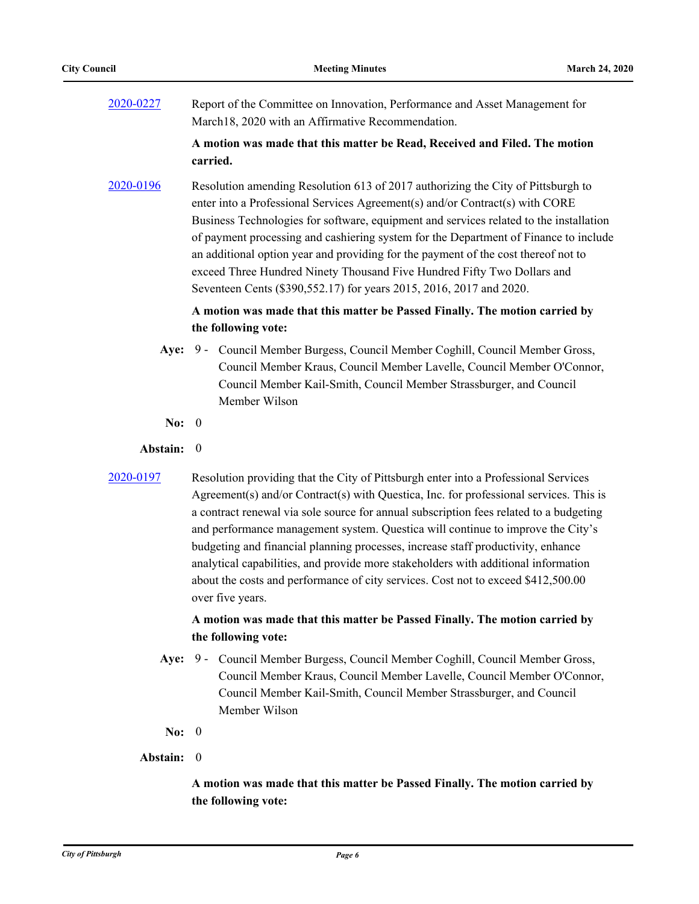[2020-0227](http://pittsburgh.legistar.com/gateway.aspx?m=l&id=/matter.aspx?key=25014) Report of the Committee on Innovation, Performance and Asset Management for March18, 2020 with an Affirmative Recommendation.

### **A motion was made that this matter be Read, Received and Filed. The motion carried.**

[2020-0196](http://pittsburgh.legistar.com/gateway.aspx?m=l&id=/matter.aspx?key=24981) Resolution amending Resolution 613 of 2017 authorizing the City of Pittsburgh to enter into a Professional Services Agreement(s) and/or Contract(s) with CORE Business Technologies for software, equipment and services related to the installation of payment processing and cashiering system for the Department of Finance to include an additional option year and providing for the payment of the cost thereof not to exceed Three Hundred Ninety Thousand Five Hundred Fifty Two Dollars and Seventeen Cents (\$390,552.17) for years 2015, 2016, 2017 and 2020.

### **A motion was made that this matter be Passed Finally. The motion carried by the following vote:**

- Aye: 9 Council Member Burgess, Council Member Coghill, Council Member Gross, Council Member Kraus, Council Member Lavelle, Council Member O'Connor, Council Member Kail-Smith, Council Member Strassburger, and Council Member Wilson
- **No:** 0

#### **Abstain:** 0

[2020-0197](http://pittsburgh.legistar.com/gateway.aspx?m=l&id=/matter.aspx?key=24982) Resolution providing that the City of Pittsburgh enter into a Professional Services Agreement(s) and/or Contract(s) with Questica, Inc. for professional services. This is a contract renewal via sole source for annual subscription fees related to a budgeting and performance management system. Questica will continue to improve the City's budgeting and financial planning processes, increase staff productivity, enhance analytical capabilities, and provide more stakeholders with additional information about the costs and performance of city services. Cost not to exceed \$412,500.00 over five years.

### **A motion was made that this matter be Passed Finally. The motion carried by the following vote:**

- Aye: 9 Council Member Burgess, Council Member Coghill, Council Member Gross, Council Member Kraus, Council Member Lavelle, Council Member O'Connor, Council Member Kail-Smith, Council Member Strassburger, and Council Member Wilson
- **No:** 0
- **Abstain:** 0

# **A motion was made that this matter be Passed Finally. The motion carried by the following vote:**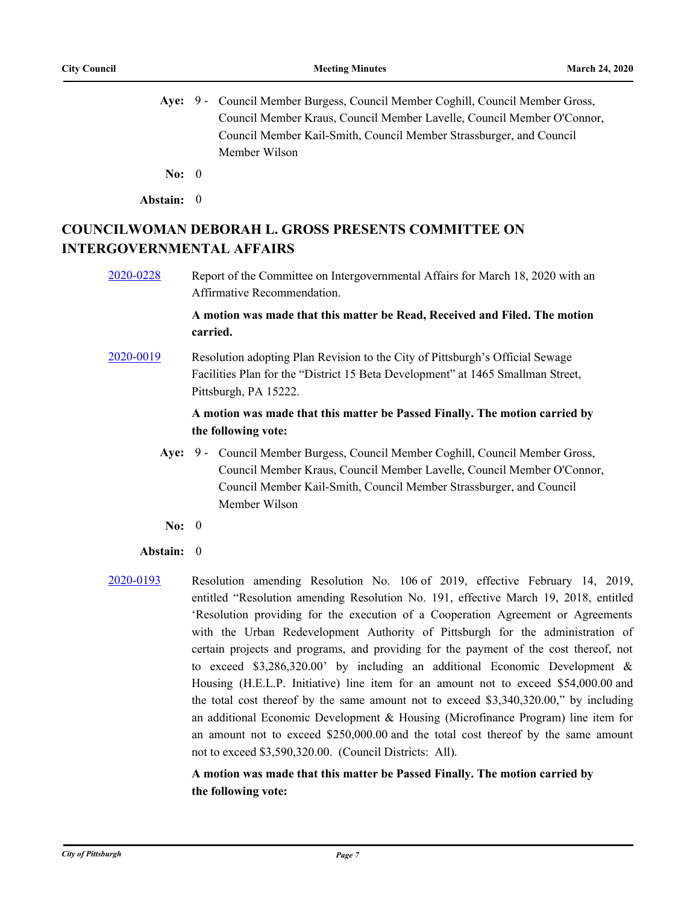- Aye: 9 Council Member Burgess, Council Member Coghill, Council Member Gross, Council Member Kraus, Council Member Lavelle, Council Member O'Connor, Council Member Kail-Smith, Council Member Strassburger, and Council Member Wilson
- **No:** 0
- **Abstain:** 0

# **COUNCILWOMAN DEBORAH L. GROSS PRESENTS COMMITTEE ON INTERGOVERNMENTAL AFFAIRS**

[2020-0228](http://pittsburgh.legistar.com/gateway.aspx?m=l&id=/matter.aspx?key=25015) Report of the Committee on Intergovernmental Affairs for March 18, 2020 with an Affirmative Recommendation.

### **A motion was made that this matter be Read, Received and Filed. The motion carried.**

[2020-0019](http://pittsburgh.legistar.com/gateway.aspx?m=l&id=/matter.aspx?key=24804) Resolution adopting Plan Revision to the City of Pittsburgh's Official Sewage Facilities Plan for the "District 15 Beta Development" at 1465 Smallman Street, Pittsburgh, PA 15222.

### **A motion was made that this matter be Passed Finally. The motion carried by the following vote:**

- Aye: 9 Council Member Burgess, Council Member Coghill, Council Member Gross, Council Member Kraus, Council Member Lavelle, Council Member O'Connor, Council Member Kail-Smith, Council Member Strassburger, and Council Member Wilson
- **No:** 0

### **Abstain:** 0

[2020-0193](http://pittsburgh.legistar.com/gateway.aspx?m=l&id=/matter.aspx?key=24978) Resolution amending Resolution No. 106 of 2019, effective February 14, 2019, entitled "Resolution amending Resolution No. 191, effective March 19, 2018, entitled 'Resolution providing for the execution of a Cooperation Agreement or Agreements with the Urban Redevelopment Authority of Pittsburgh for the administration of certain projects and programs, and providing for the payment of the cost thereof, not to exceed \$3,286,320.00' by including an additional Economic Development & Housing (H.E.L.P. Initiative) line item for an amount not to exceed \$54,000.00 and the total cost thereof by the same amount not to exceed \$3,340,320.00," by including an additional Economic Development & Housing (Microfinance Program) line item for an amount not to exceed \$250,000.00 and the total cost thereof by the same amount not to exceed \$3,590,320.00. (Council Districts: All).

### **A motion was made that this matter be Passed Finally. The motion carried by the following vote:**